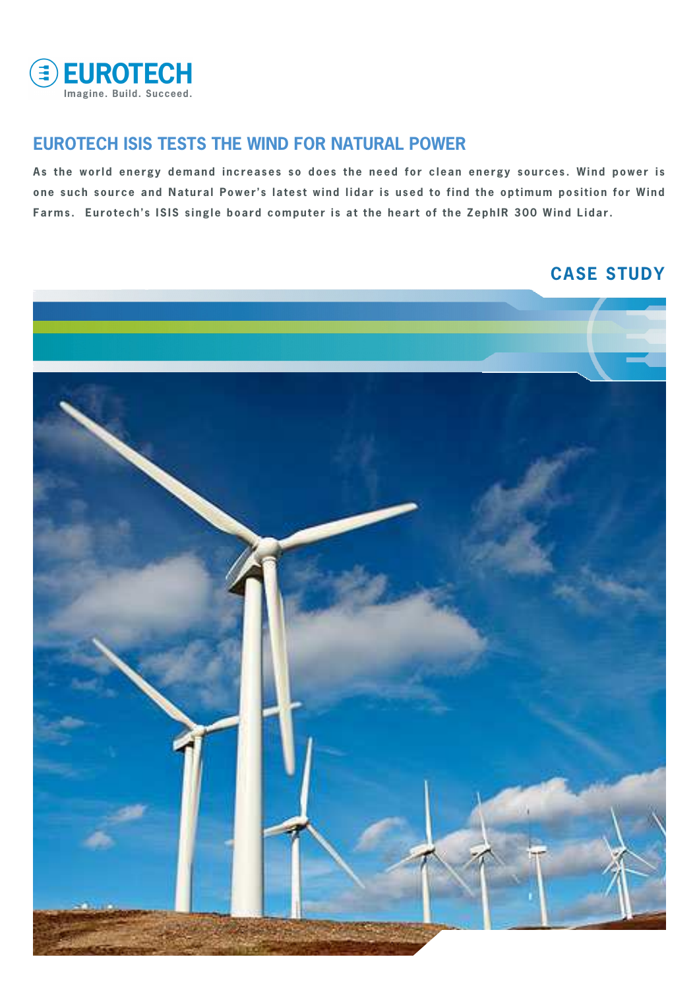

### **EUROTECH ISIS TESTS THE WIND FOR NATURAL POWER**

 **one such source and Natural Power's latest wind lidar is used to find the optimum position for Wind As the world energy demand increases so does the need for clean energy sources. Wind power is**  Farms. Eurotech's ISIS single board computer is at the heart of the ZephIR 300 Wind Lidar.

# **CASE STUDY**

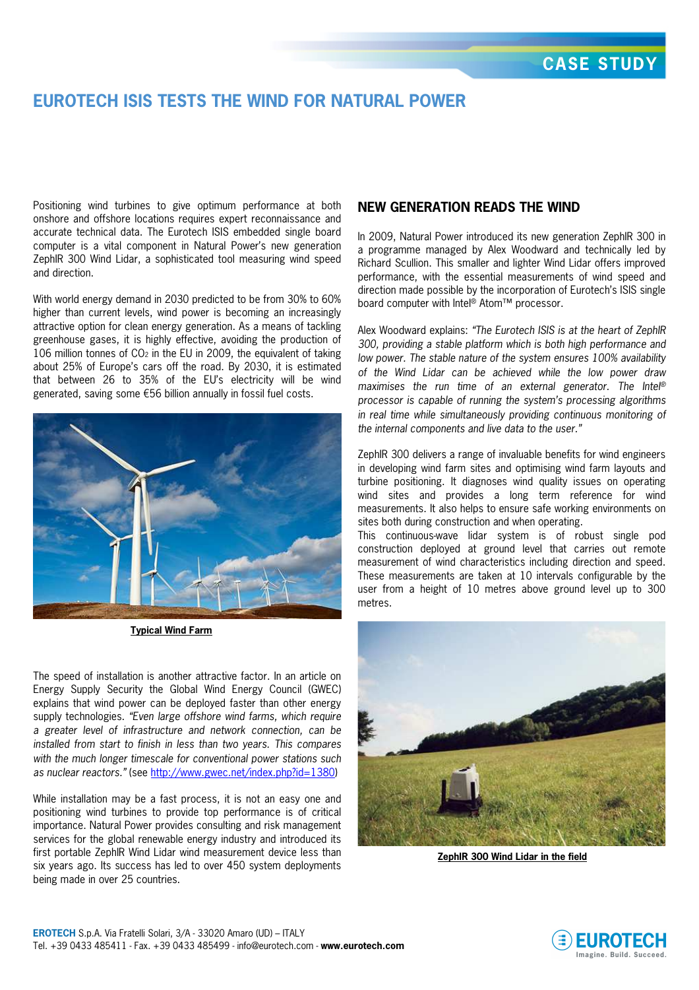## **EUROTECH ISIS TESTS THE WIND FOR NATURAL POWER**

Positioning wind turbines to give optimum performance at both onshore and offshore locations requires expert reconnaissance and accurate technical data. The Eurotech ISIS embedded single board computer is a vital component in Natural Power's new generation ZephIR 300 Wind Lidar, a sophisticated tool measuring wind speed and direction.

With world energy demand in 2030 predicted to be from 30% to 60% higher than current levels, wind power is becoming an increasingly attractive option for clean energy generation. As a means of tackling greenhouse gases, it is highly effective, avoiding the production of 106 million tonnes of  $CO<sub>2</sub>$  in the EU in 2009, the equivalent of taking about 25% of Europe's cars off the road. By 2030, it is estimated that between 26 to 35% of the EU's electricity will be wind generated, saving some €56 billion annually in fossil fuel costs.



**Typical Wind Farm**

The speed of installation is another attractive factor. In an article on Energy Supply Security the Global Wind Energy Council (GWEC) explains that wind power can be deployed faster than other energy supply technologies. "Even large offshore wind farms, which require a greater level of infrastructure and network connection, can be installed from start to finish in less than two years. This compares with the much longer timescale for conventional power stations such as nuclear reactors." (see http://www.gwec.net/index.php?id=1380)

While installation may be a fast process, it is not an easy one and positioning wind turbines to provide top performance is of critical importance. Natural Power provides consulting and risk management services for the global renewable energy industry and introduced its first portable ZephIR Wind Lidar wind measurement device less than six years ago. Its success has led to over 450 system deployments being made in over 25 countries.

### **NEW GENERATION READS THE WIND**

In 2009, Natural Power introduced its new generation ZephIR 300 in a programme managed by Alex Woodward and technically led by Richard Scullion. This smaller and lighter Wind Lidar offers improved performance, with the essential measurements of wind speed and direction made possible by the incorporation of Eurotech's ISIS single board computer with Intel® Atom™ processor.

Alex Woodward explains: "The Eurotech ISIS is at the heart of ZephIR 300, providing a stable platform which is both high performance and low power. The stable nature of the system ensures 100% availability of the Wind Lidar can be achieved while the low power draw maximises the run time of an external generator. The Intel<sup>®</sup> processor is capable of running the system's processing algorithms in real time while simultaneously providing continuous monitoring of the internal components and live data to the user."

ZephIR 300 delivers a range of invaluable benefits for wind engineers in developing wind farm sites and optimising wind farm layouts and turbine positioning. It diagnoses wind quality issues on operating wind sites and provides a long term reference for wind measurements. It also helps to ensure safe working environments on sites both during construction and when operating.

This continuous-wave lidar system is of robust single pod construction deployed at ground level that carries out remote measurement of wind characteristics including direction and speed. These measurements are taken at 10 intervals configurable by the user from a height of 10 metres above ground level up to 300 metres.



**ZephIR 300 Wind Lidar in the field**